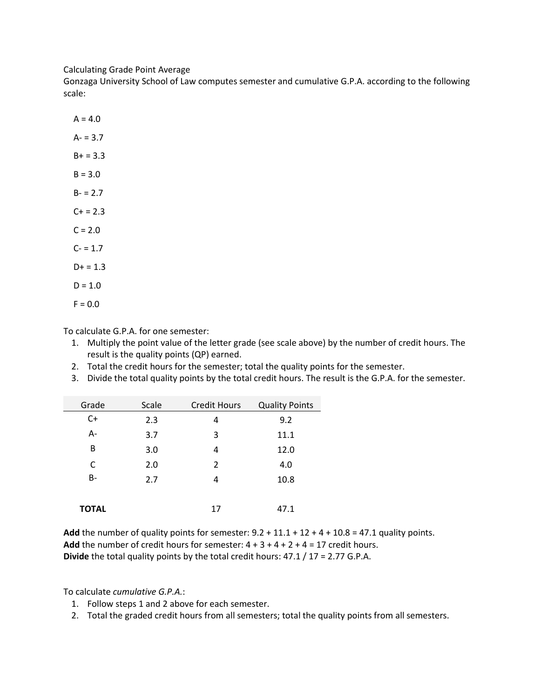Calculating Grade Point Average

Gonzaga University School of Law computes semester and cumulative G.P.A. according to the following scale:

 $A = 4.0$  $A - 3.7$  $B+ = 3.3$  $B = 3.0$  $B - 2.7$  $C+ = 2.3$  $C = 2.0$  $C - 1.7$  $D+ = 1.3$  $D = 1.0$  $F = 0.0$ 

To calculate G.P.A. for one semester:

- 1. Multiply the point value of the letter grade (see scale above) by the number of credit hours. The result is the quality points (QP) earned.
- 2. Total the credit hours for the semester; total the quality points for the semester.
- 3. Divide the total quality points by the total credit hours. The result is the G.P.A. for the semester.

| Grade        | Scale | <b>Credit Hours</b> | <b>Quality Points</b> |
|--------------|-------|---------------------|-----------------------|
| $C+$         | 2.3   | 4                   | 9.2                   |
| $A -$        | 3.7   | 3                   | 11.1                  |
| B            | 3.0   | 4                   | 12.0                  |
| C            | 2.0   | $\mathcal{P}$       | 4.0                   |
| <b>B-</b>    | 2.7   | 4                   | 10.8                  |
|              |       |                     |                       |
| <b>TOTAL</b> |       | 17                  | 47.1                  |

Add the number of quality points for semester:  $9.2 + 11.1 + 12 + 4 + 10.8 = 47.1$  quality points. **Add** the number of credit hours for semester:  $4 + 3 + 4 + 2 + 4 = 17$  credit hours. **Divide** the total quality points by the total credit hours: 47.1 / 17 = 2.77 G.P.A.

To calculate *cumulative G.P.A.*:

- 1. Follow steps 1 and 2 above for each semester.
- 2. Total the graded credit hours from all semesters; total the quality points from all semesters.